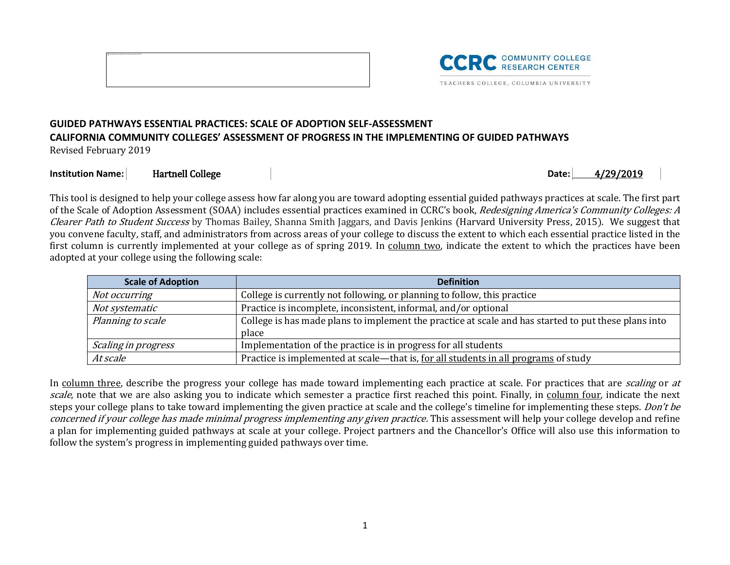



## **GUIDED PATHWAYS ESSENTIAL PRACTICES: SCALE OF ADOPTION SELF-ASSESSMENT CALIFORNIA COMMUNITY COLLEGES' ASSESSMENT OF PROGRESS IN THE IMPLEMENTING OF GUIDED PATHWAYS**

Revised February 2019

## **Institution Name:** Hartnell College **Date:** 2019 **Date:** 2019

This tool is designed to help your college assess how far along you are toward adopting essential guided pathways practices at scale. The first part of the Scale of Adoption Assessment (SOAA) includes essential practices examined in CCRC's book, Redesigning America's Community Colleges: A Clearer Path to Student Success by Thomas Bailey, Shanna Smith Jaggars, and Davis Jenkins (Harvard University Press, 2015). We suggest that you convene faculty, staff, and administrators from across areas of your college to discuss the extent to which each essential practice listed in the first column is currently implemented at your college as of spring 2019. In column two, indicate the extent to which the practices have been adopted at your college using the following scale:

| <b>Scale of Adoption</b><br><b>Definition</b>                                         |                                                                                                      |  |  |  |  |
|---------------------------------------------------------------------------------------|------------------------------------------------------------------------------------------------------|--|--|--|--|
| Not occurring                                                                         | College is currently not following, or planning to follow, this practice                             |  |  |  |  |
| Practice is incomplete, inconsistent, informal, and/or optional<br>Not systematic     |                                                                                                      |  |  |  |  |
| Planning to scale                                                                     | College is has made plans to implement the practice at scale and has started to put these plans into |  |  |  |  |
|                                                                                       | place                                                                                                |  |  |  |  |
| Implementation of the practice is in progress for all students<br>Scaling in progress |                                                                                                      |  |  |  |  |
| At scale                                                                              | Practice is implemented at scale—that is, for all students in all programs of study                  |  |  |  |  |

In column three, describe the progress your college has made toward implementing each practice at scale. For practices that are *scaling* or at scale, note that we are also asking you to indicate which semester a practice first reached this point. Finally, in column four, indicate the next steps your college plans to take toward implementing the given practice at scale and the college's timeline for implementing these steps. Don't be concerned if your college has made minimal progress implementing any given practice. This assessment will help your college develop and refine a plan for implementing guided pathways at scale at your college. Project partners and the Chancellor's Office will also use this information to follow the system's progress in implementing guided pathways over time.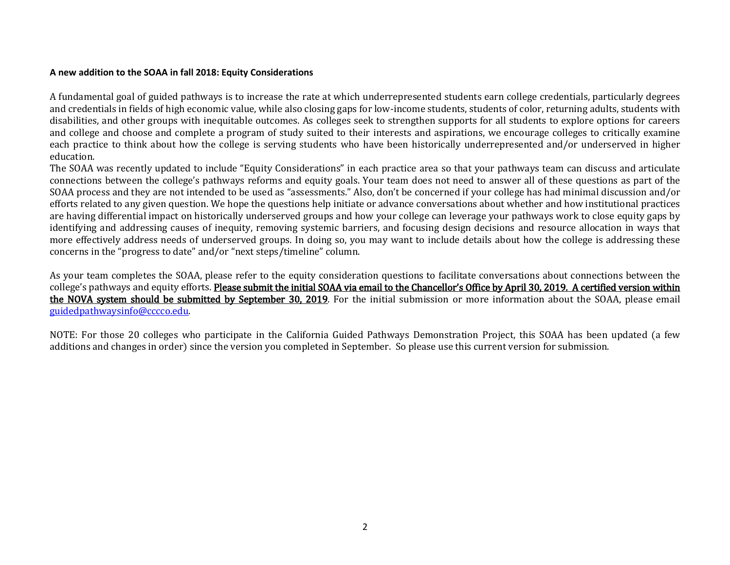## **A new addition to the SOAA in fall 2018: Equity Considerations**

A fundamental goal of guided pathways is to increase the rate at which underrepresented students earn college credentials, particularly degrees and credentials in fields of high economic value, while also closing gaps for low-income students, students of color, returning adults, students with disabilities, and other groups with inequitable outcomes. As colleges seek to strengthen supports for all students to explore options for careers and college and choose and complete a program of study suited to their interests and aspirations, we encourage colleges to critically examine each practice to think about how the college is serving students who have been historically underrepresented and/or underserved in higher education.

The SOAA was recently updated to include "Equity Considerations" in each practice area so that your pathways team can discuss and articulate connections between the college's pathways reforms and equity goals. Your team does not need to answer all of these questions as part of the SOAA process and they are not intended to be used as "assessments." Also, don't be concerned if your college has had minimal discussion and/or efforts related to any given question. We hope the questions help initiate or advance conversations about whether and how institutional practices are having differential impact on historically underserved groups and how your college can leverage your pathways work to close equity gaps by identifying and addressing causes of inequity, removing systemic barriers, and focusing design decisions and resource allocation in ways that more effectively address needs of underserved groups. In doing so, you may want to include details about how the college is addressing these concerns in the "progress to date" and/or "next steps/timeline" column.

As your team completes the SOAA, please refer to the equity consideration questions to facilitate conversations about connections between the college's pathways and equity efforts. Please submit the initial SOAA via email to the Chancellor's Office by April 30, 2019. A certified version within the NOVA system should be submitted by September 30, 2019. For the initial submission or more information about the SOAA, please email [guidedpathwaysinfo@cccco.edu.](mailto:guidedpathwaysinfo@cccco.edu)

NOTE: For those 20 colleges who participate in the California Guided Pathways Demonstration Project, this SOAA has been updated (a few additions and changes in order) since the version you completed in September. So please use this current version for submission.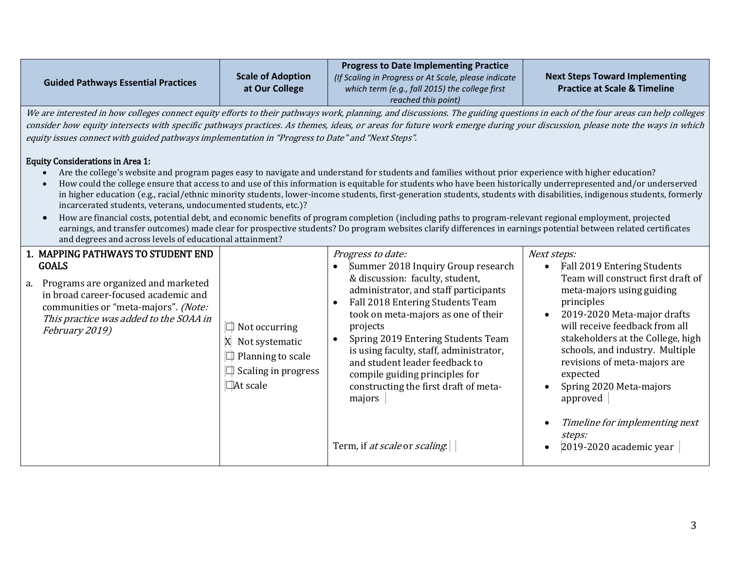|                                            |                   | <b>Progress to Date Implementing Practice</b>        |                                         |
|--------------------------------------------|-------------------|------------------------------------------------------|-----------------------------------------|
|                                            | Scale of Adoption | (If Scaling in Progress or At Scale, please indicate | <b>Next Steps Toward Implementing</b>   |
| <b>Guided Pathways Essential Practices</b> | at Our College    | which term (e.g., fall 2015) the college first       | <b>Practice at Scale &amp; Timeline</b> |
|                                            |                   | reached this point)                                  |                                         |

We are interested in how colleges connect equity efforts to their pathways work, planning, and discussions. The guiding questions in each of the four areas can help colleges consider how equity intersects with specific pathways practices. As themes, ideas, or areas for future work emerge during your discussion, please note the ways in which equity issues connect with guided pathways implementation in "Progress to Date" and "Next Steps".

## Equity Considerations in Area 1:

- Are the college's website and program pages easy to navigate and understand for students and families without prior experience with higher education?
- How could the college ensure that access to and use of this information is equitable for students who have been historically underrepresented and/or underserved in higher education (e.g., racial/ethnic minority students, lower-income students, first-generation students, students with disabilities, indigenous students, formerly incarcerated students, veterans, undocumented students, etc.)?
- How are financial costs, potential debt, and economic benefits of program completion (including paths to program-relevant regional employment, projected earnings, and transfer outcomes) made clear for prospective students? Do program websites clarify differences in earnings potential between related certificates and degrees and across levels of educational attainment?

| 1. MAPPING PATHWAYS TO STUDENT END<br><b>GOALS</b><br>a. Programs are organized and marketed<br>in broad career-focused academic and<br>communities or "meta-majors". (Note:<br>This practice was added to the SOAA in<br>February 2019) | $\Box$ Not occurring<br>Not systematic<br>$\Box$ Planning to scale<br>$\Box$ Scaling in progress<br>$\Box$ At scale | Progress to date:<br>Summer 2018 Inquiry Group research<br>& discussion: faculty, student,<br>administrator, and staff participants<br>Fall 2018 Entering Students Team<br>took on meta-majors as one of their<br>projects<br>Spring 2019 Entering Students Team<br>is using faculty, staff, administrator,<br>and student leader feedback to<br>compile guiding principles for<br>constructing the first draft of meta-<br>majors | Next steps: | Fall 2019 Entering Students<br>Team will construct first draft of<br>meta-majors using guiding<br>principles<br>2019-2020 Meta-major drafts<br>will receive feedback from all<br>stakeholders at the College, high<br>schools, and industry. Multiple<br>revisions of meta-majors are<br>expected<br>Spring 2020 Meta-majors<br>approved |
|------------------------------------------------------------------------------------------------------------------------------------------------------------------------------------------------------------------------------------------|---------------------------------------------------------------------------------------------------------------------|------------------------------------------------------------------------------------------------------------------------------------------------------------------------------------------------------------------------------------------------------------------------------------------------------------------------------------------------------------------------------------------------------------------------------------|-------------|------------------------------------------------------------------------------------------------------------------------------------------------------------------------------------------------------------------------------------------------------------------------------------------------------------------------------------------|
|                                                                                                                                                                                                                                          |                                                                                                                     | Term, if at scale or scaling.                                                                                                                                                                                                                                                                                                                                                                                                      |             | Timeline for implementing next<br>steps:<br>2019-2020 academic year                                                                                                                                                                                                                                                                      |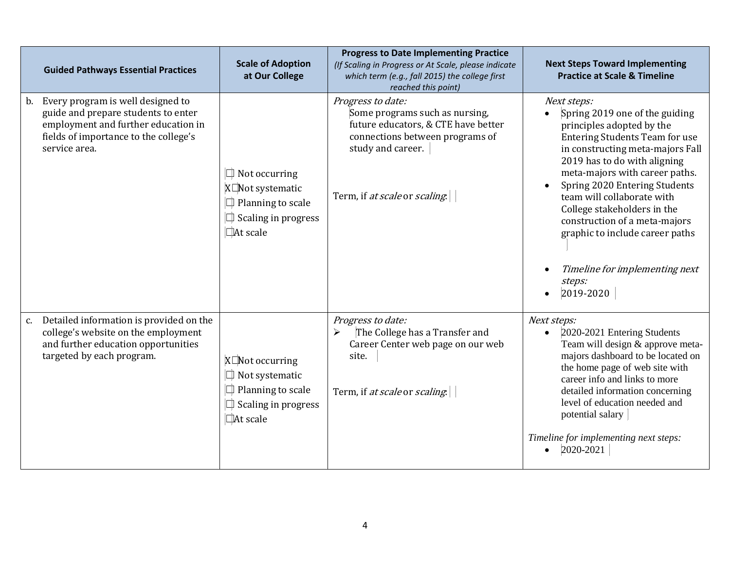|    | <b>Guided Pathways Essential Practices</b>                                                                                                                                   | <b>Scale of Adoption</b><br>at Our College                                                                                  | <b>Progress to Date Implementing Practice</b><br>(If Scaling in Progress or At Scale, please indicate<br>which term (e.g., fall 2015) the college first<br>reached this point)      | <b>Next Steps Toward Implementing</b><br><b>Practice at Scale &amp; Timeline</b>                                                                                                                                                                                                                                                                                                                                                                     |
|----|------------------------------------------------------------------------------------------------------------------------------------------------------------------------------|-----------------------------------------------------------------------------------------------------------------------------|-------------------------------------------------------------------------------------------------------------------------------------------------------------------------------------|------------------------------------------------------------------------------------------------------------------------------------------------------------------------------------------------------------------------------------------------------------------------------------------------------------------------------------------------------------------------------------------------------------------------------------------------------|
|    | b. Every program is well designed to<br>guide and prepare students to enter<br>employment and further education in<br>fields of importance to the college's<br>service area. | $\Box$ Not occurring<br>X□Not systematic<br>$\Box$ Planning to scale<br>$\Box$ Scaling in progress<br>$\Box$ At scale       | Progress to date:<br>Some programs such as nursing,<br>future educators, & CTE have better<br>connections between programs of<br>study and career.<br>Term, if at scale or scaling. | Next steps:<br>Spring 2019 one of the guiding<br>principles adopted by the<br><b>Entering Students Team for use</b><br>in constructing meta-majors Fall<br>2019 has to do with aligning<br>meta-majors with career paths.<br>Spring 2020 Entering Students<br>team will collaborate with<br>College stakeholders in the<br>construction of a meta-majors<br>graphic to include career paths<br>Timeline for implementing next<br>steps:<br>2019-2020 |
| c. | Detailed information is provided on the<br>college's website on the employment<br>and further education opportunities<br>targeted by each program.                           | $X\Box$ Not occurring<br>$\Box$ Not systematic<br>$\Box$ Planning to scale<br>$\Box$ Scaling in progress<br>$\Box$ At scale | Progress to date:<br>The College has a Transfer and<br>➤<br>Career Center web page on our web<br>site.<br>Term, if at scale or scaling                                              | Next steps:<br>2020-2021 Entering Students<br>Team will design & approve meta-<br>majors dashboard to be located on<br>the home page of web site with<br>career info and links to more<br>detailed information concerning<br>level of education needed and<br>potential salary<br>Timeline for implementing next steps:<br>2020-2021                                                                                                                 |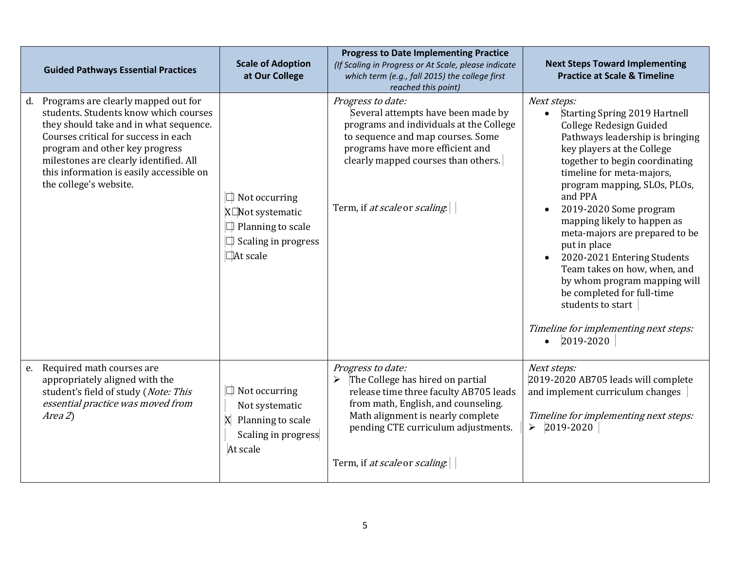| <b>Guided Pathways Essential Practices</b>                                                                                                                                                                                                                                                                             | <b>Scale of Adoption</b><br>at Our College                                                                     | <b>Progress to Date Implementing Practice</b><br>(If Scaling in Progress or At Scale, please indicate<br>which term (e.g., fall 2015) the college first<br>reached this point)                                                                           | <b>Next Steps Toward Implementing</b><br><b>Practice at Scale &amp; Timeline</b>                                                                                                                                                                                                                                                                                                                                                                                                                                                                                                                       |
|------------------------------------------------------------------------------------------------------------------------------------------------------------------------------------------------------------------------------------------------------------------------------------------------------------------------|----------------------------------------------------------------------------------------------------------------|----------------------------------------------------------------------------------------------------------------------------------------------------------------------------------------------------------------------------------------------------------|--------------------------------------------------------------------------------------------------------------------------------------------------------------------------------------------------------------------------------------------------------------------------------------------------------------------------------------------------------------------------------------------------------------------------------------------------------------------------------------------------------------------------------------------------------------------------------------------------------|
| Programs are clearly mapped out for<br>d.<br>students. Students know which courses<br>they should take and in what sequence.<br>Courses critical for success in each<br>program and other key progress<br>milestones are clearly identified. All<br>this information is easily accessible on<br>the college's website. | $\Box$ Not occurring<br>X□Not systematic<br>$\Box$ Planning to scale<br>Scaling in progress<br>$\Box$ At scale | Progress to date:<br>Several attempts have been made by<br>programs and individuals at the College<br>to sequence and map courses. Some<br>programs have more efficient and<br>clearly mapped courses than others.<br>Term, if at scale or scaling.      | Next steps:<br><b>Starting Spring 2019 Hartnell</b><br>$\bullet$<br>College Redesign Guided<br>Pathways leadership is bringing<br>key players at the College<br>together to begin coordinating<br>timeline for meta-majors,<br>program mapping, SLOs, PLOs,<br>and PPA<br>2019-2020 Some program<br>mapping likely to happen as<br>meta-majors are prepared to be<br>put in place<br>2020-2021 Entering Students<br>Team takes on how, when, and<br>by whom program mapping will<br>be completed for full-time<br>students to start<br>Timeline for implementing next steps:<br>2019-2020<br>$\bullet$ |
| Required math courses are<br>e.<br>appropriately aligned with the<br>student's field of study (Note: This<br>essential practice was moved from<br>Area 2)                                                                                                                                                              | $\Box$ Not occurring<br>Not systematic<br>X<br>Planning to scale<br>Scaling in progress<br>At scale            | Progress to date:<br>The College has hired on partial<br>➤<br>release time three faculty AB705 leads<br>from math, English, and counseling.<br>Math alignment is nearly complete<br>pending CTE curriculum adjustments.<br>Term, if at scale or scaling. | Next steps:<br>2019-2020 AB705 leads will complete<br>and implement curriculum changes<br>Timeline for implementing next steps:<br>2019-2020<br>$\blacktriangleright$                                                                                                                                                                                                                                                                                                                                                                                                                                  |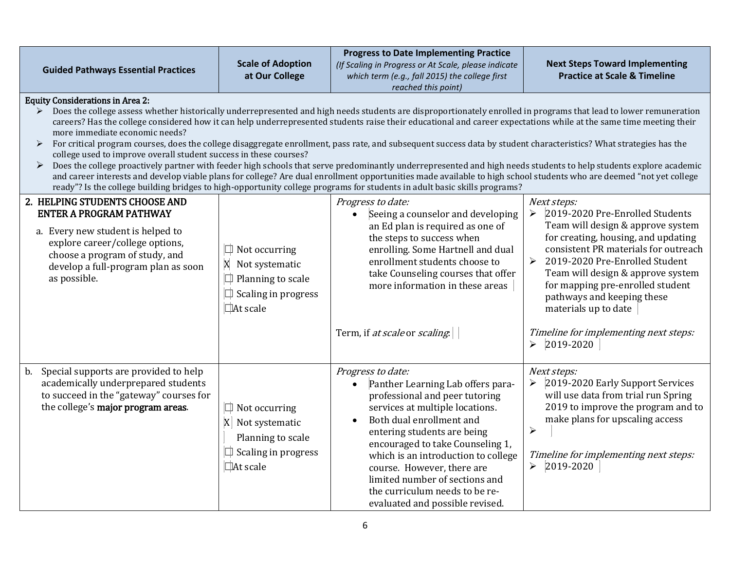|                                                                                                                                                                                                                                                                                                                                                                                                                                                                                                                                                                                                                                                                                                                                                                                                                                                                                                                                                                                                                                                                                                                                                                        |                                                                                                              | <b>Progress to Date Implementing Practice</b>                                                                                                                                                                                                                                                                                                                                                                                    |                                                                                                                                                                                                                                                                                                                                                                                                                                                  |  |  |  |
|------------------------------------------------------------------------------------------------------------------------------------------------------------------------------------------------------------------------------------------------------------------------------------------------------------------------------------------------------------------------------------------------------------------------------------------------------------------------------------------------------------------------------------------------------------------------------------------------------------------------------------------------------------------------------------------------------------------------------------------------------------------------------------------------------------------------------------------------------------------------------------------------------------------------------------------------------------------------------------------------------------------------------------------------------------------------------------------------------------------------------------------------------------------------|--------------------------------------------------------------------------------------------------------------|----------------------------------------------------------------------------------------------------------------------------------------------------------------------------------------------------------------------------------------------------------------------------------------------------------------------------------------------------------------------------------------------------------------------------------|--------------------------------------------------------------------------------------------------------------------------------------------------------------------------------------------------------------------------------------------------------------------------------------------------------------------------------------------------------------------------------------------------------------------------------------------------|--|--|--|
| <b>Guided Pathways Essential Practices</b>                                                                                                                                                                                                                                                                                                                                                                                                                                                                                                                                                                                                                                                                                                                                                                                                                                                                                                                                                                                                                                                                                                                             | <b>Scale of Adoption</b><br>at Our College                                                                   | (If Scaling in Progress or At Scale, please indicate<br>which term (e.g., fall 2015) the college first<br>reached this point)                                                                                                                                                                                                                                                                                                    | <b>Next Steps Toward Implementing</b><br><b>Practice at Scale &amp; Timeline</b>                                                                                                                                                                                                                                                                                                                                                                 |  |  |  |
| <b>Equity Considerations in Area 2:</b><br>Does the college assess whether historically underrepresented and high needs students are disproportionately enrolled in programs that lead to lower remuneration<br>careers? Has the college considered how it can help underrepresented students raise their educational and career expectations while at the same time meeting their<br>more immediate economic needs?<br>For critical program courses, does the college disaggregate enrollment, pass rate, and subsequent success data by student characteristics? What strategies has the<br>➤<br>college used to improve overall student success in these courses?<br>Does the college proactively partner with feeder high schools that serve predominantly underrepresented and high needs students to help students explore academic<br>$\blacktriangleright$<br>and career interests and develop viable plans for college? Are dual enrollment opportunities made available to high school students who are deemed "not yet college<br>ready"? Is the college building bridges to high-opportunity college programs for students in adult basic skills programs? |                                                                                                              |                                                                                                                                                                                                                                                                                                                                                                                                                                  |                                                                                                                                                                                                                                                                                                                                                                                                                                                  |  |  |  |
| 2. HELPING STUDENTS CHOOSE AND<br><b>ENTER A PROGRAM PATHWAY</b><br>a. Every new student is helped to<br>explore career/college options,<br>choose a program of study, and<br>develop a full-program plan as soon<br>as possible.                                                                                                                                                                                                                                                                                                                                                                                                                                                                                                                                                                                                                                                                                                                                                                                                                                                                                                                                      | Not occurring<br>X Not systematic<br>Planning to scale<br>$\Box$ Scaling in progress<br>At scale             | Progress to date:<br>Seeing a counselor and developing<br>$\bullet$<br>an Ed plan is required as one of<br>the steps to success when<br>enrolling. Some Hartnell and dual<br>enrollment students choose to<br>take Counseling courses that offer<br>more information in these areas<br>Term, if at scale or scaling.                                                                                                             | Next steps:<br>2019-2020 Pre-Enrolled Students<br>➤<br>Team will design & approve system<br>for creating, housing, and updating<br>consistent PR materials for outreach<br>$\blacktriangleright$<br>2019-2020 Pre-Enrolled Student<br>Team will design & approve system<br>for mapping pre-enrolled student<br>pathways and keeping these<br>materials up to date<br>Timeline for implementing next steps:<br>2019-2020<br>$\blacktriangleright$ |  |  |  |
| Special supports are provided to help<br>$\mathbf{b}$ .<br>academically underprepared students<br>to succeed in the "gateway" courses for<br>the college's major program areas.                                                                                                                                                                                                                                                                                                                                                                                                                                                                                                                                                                                                                                                                                                                                                                                                                                                                                                                                                                                        | $\Box$ Not occurring<br>$X$ Not systematic<br>Planning to scale<br>Scaling in progress<br>$\square$ At scale | Progress to date:<br>Panther Learning Lab offers para-<br>$\bullet$<br>professional and peer tutoring<br>services at multiple locations.<br>Both dual enrollment and<br>$\bullet$<br>entering students are being<br>encouraged to take Counseling 1,<br>which is an introduction to college<br>course. However, there are<br>limited number of sections and<br>the curriculum needs to be re-<br>evaluated and possible revised. | Next steps:<br>2019-2020 Early Support Services<br>will use data from trial run Spring<br>2019 to improve the program and to<br>make plans for upscaling access<br>$\blacktriangleright$<br>Timeline for implementing next steps:<br>2019-2020<br>➤                                                                                                                                                                                              |  |  |  |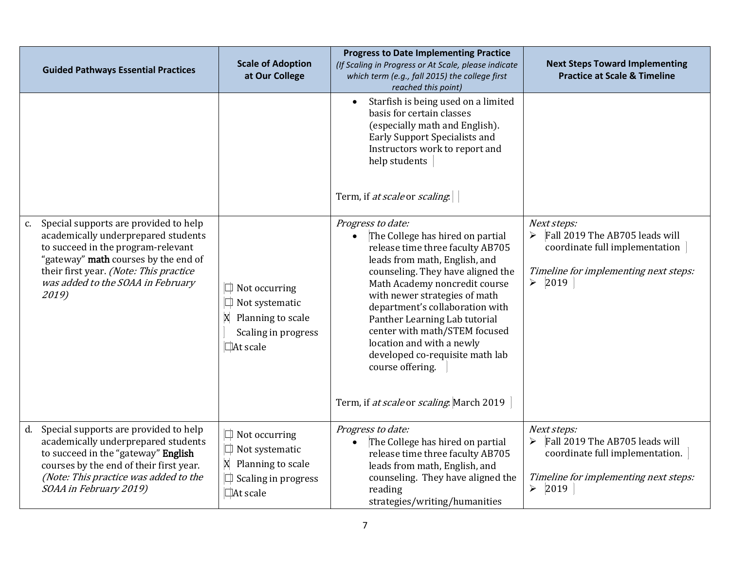|               | <b>Guided Pathways Essential Practices</b>                                                                                                                                                                                                         | <b>Scale of Adoption</b><br>at Our College                                                                     | <b>Progress to Date Implementing Practice</b><br>(If Scaling in Progress or At Scale, please indicate<br>which term (e.g., fall 2015) the college first<br>reached this point)                                                                                                                                                                                                                                                                                         | <b>Next Steps Toward Implementing</b><br><b>Practice at Scale &amp; Timeline</b>                                                                           |
|---------------|----------------------------------------------------------------------------------------------------------------------------------------------------------------------------------------------------------------------------------------------------|----------------------------------------------------------------------------------------------------------------|------------------------------------------------------------------------------------------------------------------------------------------------------------------------------------------------------------------------------------------------------------------------------------------------------------------------------------------------------------------------------------------------------------------------------------------------------------------------|------------------------------------------------------------------------------------------------------------------------------------------------------------|
|               |                                                                                                                                                                                                                                                    |                                                                                                                | Starfish is being used on a limited<br>$\bullet$<br>basis for certain classes<br>(especially math and English).<br>Early Support Specialists and<br>Instructors work to report and<br>help students<br>Term, if at scale or scaling.                                                                                                                                                                                                                                   |                                                                                                                                                            |
| $C_{\bullet}$ | Special supports are provided to help<br>academically underprepared students<br>to succeed in the program-relevant<br>"gateway" math courses by the end of<br>their first year. (Note: This practice<br>was added to the SOAA in February<br>2019) | $\Box$ Not occurring<br>$\Box$ Not systematic<br>X Planning to scale<br>Scaling in progress<br><b>At scale</b> | Progress to date:<br>The College has hired on partial<br>release time three faculty AB705<br>leads from math, English, and<br>counseling. They have aligned the<br>Math Academy noncredit course<br>with newer strategies of math<br>department's collaboration with<br>Panther Learning Lab tutorial<br>center with math/STEM focused<br>location and with a newly<br>developed co-requisite math lab<br>course offering.<br>Term, if at scale or scaling. March 2019 | Next steps:<br>Fall 2019 The AB705 leads will<br>➤<br>coordinate full implementation<br>Timeline for implementing next steps:<br>$\triangleright$ 2019     |
|               | d. Special supports are provided to help<br>academically underprepared students<br>to succeed in the "gateway" English<br>courses by the end of their first year.<br>(Note: This practice was added to the<br>SOAA in February 2019)               | $\Box$ Not occurring<br>$\Box$ Not systematic<br>X Planning to scale<br>$\Box$ Scaling in progress<br>At scale | Progress to date:<br>The College has hired on partial<br>release time three faculty AB705<br>leads from math, English, and<br>counseling. They have aligned the<br>reading<br>strategies/writing/humanities                                                                                                                                                                                                                                                            | Next steps:<br>Fall 2019 The AB705 leads will<br>coordinate full implementation.<br>Timeline for implementing next steps:<br>$\blacktriangleright$<br>2019 |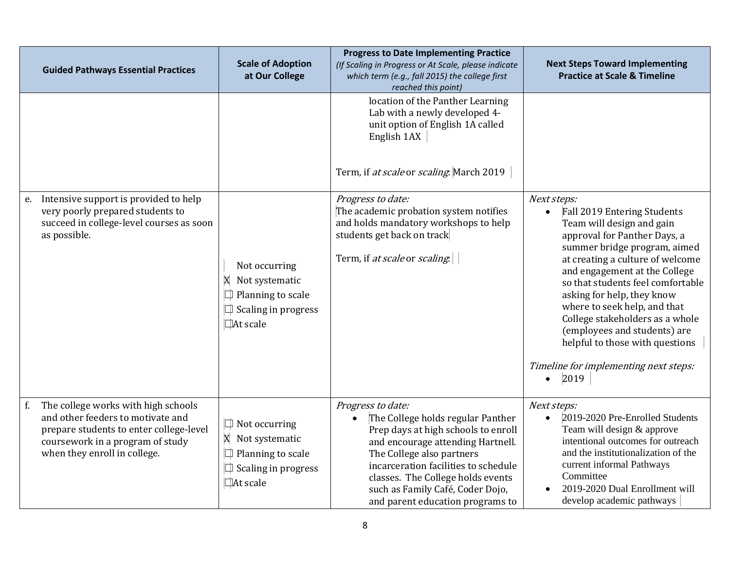| <b>Guided Pathways Essential Practices</b>                                                                                                                                                    | <b>Scale of Adoption</b><br>at Our College                                                                        | <b>Progress to Date Implementing Practice</b><br>(If Scaling in Progress or At Scale, please indicate<br>which term (e.g., fall 2015) the college first<br>reached this point)                                                                                                                                       | <b>Next Steps Toward Implementing</b><br><b>Practice at Scale &amp; Timeline</b>                                                                                                                                                                                                                                                                                                                                                                                                                 |
|-----------------------------------------------------------------------------------------------------------------------------------------------------------------------------------------------|-------------------------------------------------------------------------------------------------------------------|----------------------------------------------------------------------------------------------------------------------------------------------------------------------------------------------------------------------------------------------------------------------------------------------------------------------|--------------------------------------------------------------------------------------------------------------------------------------------------------------------------------------------------------------------------------------------------------------------------------------------------------------------------------------------------------------------------------------------------------------------------------------------------------------------------------------------------|
|                                                                                                                                                                                               |                                                                                                                   | location of the Panther Learning<br>Lab with a newly developed 4-<br>unit option of English 1A called<br>English 1AX<br>Term, if at scale or scaling. March 2019                                                                                                                                                     |                                                                                                                                                                                                                                                                                                                                                                                                                                                                                                  |
| Intensive support is provided to help<br>e.<br>very poorly prepared students to<br>succeed in college-level courses as soon<br>as possible.                                                   | Not occurring<br>Not systematic<br>X<br>$\Box$ Planning to scale<br>$\Box$ Scaling in progress<br>At scale        | Progress to date:<br>The academic probation system notifies<br>and holds mandatory workshops to help<br>students get back on track<br>Term, if at scale or scaling.                                                                                                                                                  | Next steps:<br>Fall 2019 Entering Students<br>$\bullet$<br>Team will design and gain<br>approval for Panther Days, a<br>summer bridge program, aimed<br>at creating a culture of welcome<br>and engagement at the College<br>so that students feel comfortable<br>asking for help, they know<br>where to seek help, and that<br>College stakeholders as a whole<br>(employees and students) are<br>helpful to those with questions<br>Timeline for implementing next steps:<br>2019<br>$\bullet$ |
| The college works with high schools<br>f.<br>and other feeders to motivate and<br>prepare students to enter college-level<br>coursework in a program of study<br>when they enroll in college. | $\Box$ Not occurring<br>X Not systematic<br>Planning to scale<br>$\Box$<br>Scaling in progress<br>$\Box$ At scale | Progress to date:<br>The College holds regular Panther<br>Prep days at high schools to enroll<br>and encourage attending Hartnell.<br>The College also partners<br>incarceration facilities to schedule<br>classes. The College holds events<br>such as Family Café, Coder Dojo,<br>and parent education programs to | Next steps:<br>2019-2020 Pre-Enrolled Students<br>Team will design & approve<br>intentional outcomes for outreach<br>and the institutionalization of the<br>current informal Pathways<br>Committee<br>2019-2020 Dual Enrollment will<br>develop academic pathways                                                                                                                                                                                                                                |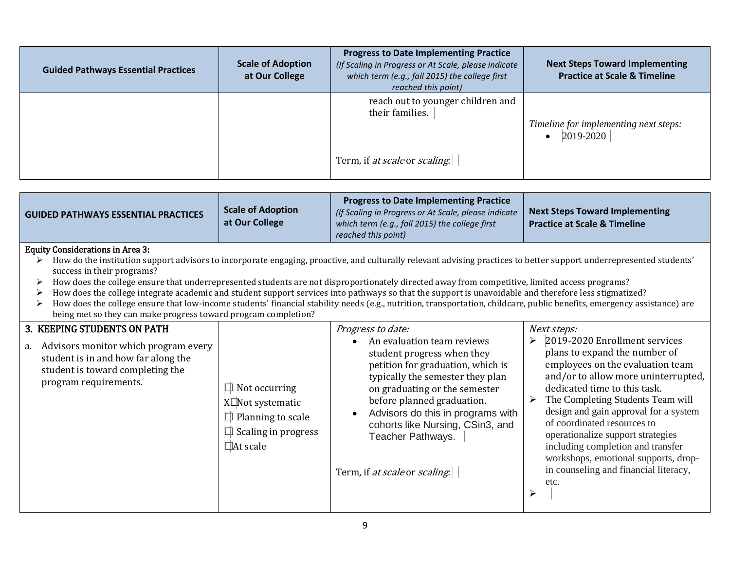| <b>Guided Pathways Essential Practices</b> | <b>Scale of Adoption</b><br>at Our College | <b>Progress to Date Implementing Practice</b><br>(If Scaling in Progress or At Scale, please indicate<br>which term (e.g., fall 2015) the college first<br>reached this point) | <b>Next Steps Toward Implementing</b><br><b>Practice at Scale &amp; Timeline</b> |
|--------------------------------------------|--------------------------------------------|--------------------------------------------------------------------------------------------------------------------------------------------------------------------------------|----------------------------------------------------------------------------------|
|                                            |                                            | reach out to younger children and<br>their families.                                                                                                                           | Timeline for implementing next steps:<br>2019-2020                               |
|                                            |                                            | Term, if at scale or scaling.                                                                                                                                                  |                                                                                  |

| <b>GUIDED PATHWAYS ESSENTIAL PRACTICES</b>                                                                                                                                    | <b>Scale of Adoption</b><br>at Our College                                                                                                                                                                                                                                                                                                                                                                                                                                                                                                                                                                                                                                                                                  | <b>Progress to Date Implementing Practice</b><br>(If Scaling in Progress or At Scale, please indicate<br>which term (e.g., fall 2015) the college first<br>reached this point)                                                                                                                                                                       | <b>Next Steps Toward Implementing</b><br><b>Practice at Scale &amp; Timeline</b>                                                                                                                                                                                                                                                                                                                                                                                                   |  |  |  |
|-------------------------------------------------------------------------------------------------------------------------------------------------------------------------------|-----------------------------------------------------------------------------------------------------------------------------------------------------------------------------------------------------------------------------------------------------------------------------------------------------------------------------------------------------------------------------------------------------------------------------------------------------------------------------------------------------------------------------------------------------------------------------------------------------------------------------------------------------------------------------------------------------------------------------|------------------------------------------------------------------------------------------------------------------------------------------------------------------------------------------------------------------------------------------------------------------------------------------------------------------------------------------------------|------------------------------------------------------------------------------------------------------------------------------------------------------------------------------------------------------------------------------------------------------------------------------------------------------------------------------------------------------------------------------------------------------------------------------------------------------------------------------------|--|--|--|
| <b>Equity Considerations in Area 3:</b><br>success in their programs?<br>≻                                                                                                    | How do the institution support advisors to incorporate engaging, proactive, and culturally relevant advising practices to better support underrepresented students'<br>How does the college ensure that underrepresented students are not disproportionately directed away from competitive, limited access programs?<br>How does the college integrate academic and student support services into pathways so that the support is unavoidable and therefore less stigmatized?<br>How does the college ensure that low-income students' financial stability needs (e.g., nutrition, transportation, childcare, public benefits, emergency assistance) are<br>being met so they can make progress toward program completion? |                                                                                                                                                                                                                                                                                                                                                      |                                                                                                                                                                                                                                                                                                                                                                                                                                                                                    |  |  |  |
| 3. KEEPING STUDENTS ON PATH<br>Advisors monitor which program every<br>a.<br>student is in and how far along the<br>student is toward completing the<br>program requirements. | $\Box$ Not occurring<br>X□Not systematic<br>$\Box$ Planning to scale<br>$\Box$ Scaling in progress<br>$\Box$ At scale                                                                                                                                                                                                                                                                                                                                                                                                                                                                                                                                                                                                       | Progress to date:<br>An evaluation team reviews<br>student progress when they<br>petition for graduation, which is<br>typically the semester they plan<br>on graduating or the semester<br>before planned graduation.<br>Advisors do this in programs with<br>cohorts like Nursing, CSin3, and<br>Teacher Pathways.<br>Term, if at scale or scaling. | Next steps:<br>2019-2020 Enrollment services<br>plans to expand the number of<br>employees on the evaluation team<br>and/or to allow more uninterrupted,<br>dedicated time to this task.<br>The Completing Students Team will<br>➤<br>design and gain approval for a system<br>of coordinated resources to<br>operationalize support strategies<br>including completion and transfer<br>workshops, emotional supports, drop-<br>in counseling and financial literacy,<br>etc.<br>↘ |  |  |  |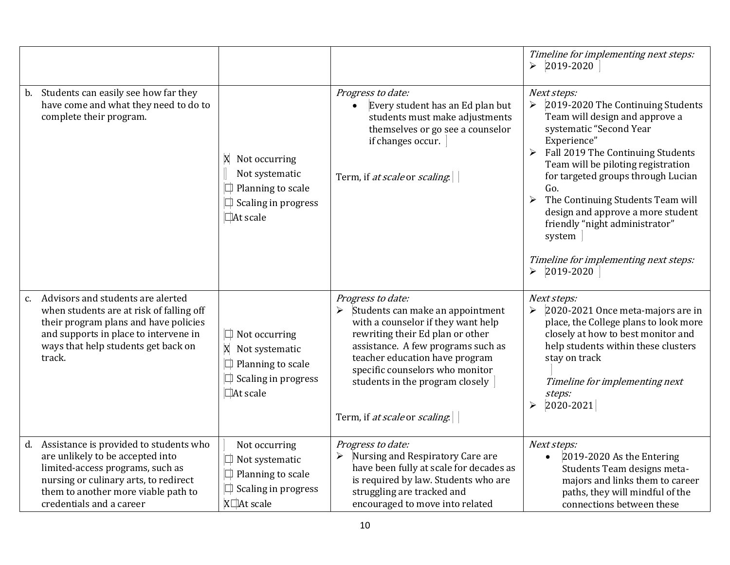|                                                                                                                                                                                                                                  |                                                                                                                |                                                                                                                                                                                                                                                                                                                                         | Timeline for implementing next steps:<br>2019-2020<br>$\blacktriangleright$                                                                                                                                                                                                                                                                                                                                                                                                             |
|----------------------------------------------------------------------------------------------------------------------------------------------------------------------------------------------------------------------------------|----------------------------------------------------------------------------------------------------------------|-----------------------------------------------------------------------------------------------------------------------------------------------------------------------------------------------------------------------------------------------------------------------------------------------------------------------------------------|-----------------------------------------------------------------------------------------------------------------------------------------------------------------------------------------------------------------------------------------------------------------------------------------------------------------------------------------------------------------------------------------------------------------------------------------------------------------------------------------|
| Students can easily see how far they<br>b.<br>have come and what they need to do to<br>complete their program.                                                                                                                   | X Not occurring<br>Not systematic<br>$\Box$ Planning to scale<br>$\Box$ Scaling in progress<br>At scale        | Progress to date:<br>Every student has an Ed plan but<br>$\bullet$<br>students must make adjustments<br>themselves or go see a counselor<br>if changes occur.<br>Term, if at scale or scaling.                                                                                                                                          | Next steps:<br>2019-2020 The Continuing Students<br>➤<br>Team will design and approve a<br>systematic "Second Year<br>Experience"<br>$\blacktriangleright$<br>Fall 2019 The Continuing Students<br>Team will be piloting registration<br>for targeted groups through Lucian<br>Go.<br>The Continuing Students Team will<br>design and approve a more student<br>friendly "night administrator"<br>system<br>Timeline for implementing next steps:<br>2019-2020<br>$\blacktriangleright$ |
| Advisors and students are alerted<br>c.<br>when students are at risk of falling off<br>their program plans and have policies<br>and supports in place to intervene in<br>ways that help students get back on<br>track.           | $\Box$ Not occurring<br>X Not systematic<br>$\Box$ Planning to scale<br>$\Box$ Scaling in progress<br>At scale | Progress to date:<br>Students can make an appointment<br>$\blacktriangleright$<br>with a counselor if they want help<br>rewriting their Ed plan or other<br>assistance. A few programs such as<br>teacher education have program<br>specific counselors who monitor<br>students in the program closely<br>Term, if at scale or scaling. | Next steps:<br>2020-2021 Once meta-majors are in<br>$\blacktriangleright$<br>place, the College plans to look more<br>closely at how to best monitor and<br>help students within these clusters<br>stay on track<br>Timeline for implementing next<br>steps:<br>2020-2021<br>$\blacktriangleright$                                                                                                                                                                                      |
| Assistance is provided to students who<br>d.<br>are unlikely to be accepted into<br>limited-access programs, such as<br>nursing or culinary arts, to redirect<br>them to another more viable path to<br>credentials and a career | Not occurring<br>$\Box$ Not systematic<br>$\Box$ Planning to scale<br>$\Box$ Scaling in progress<br>X□At scale | Progress to date:<br>$\blacktriangleright$<br>Nursing and Respiratory Care are<br>have been fully at scale for decades as<br>is required by law. Students who are<br>struggling are tracked and<br>encouraged to move into related                                                                                                      | Next steps:<br>2019-2020 As the Entering<br>Students Team designs meta-<br>majors and links them to career<br>paths, they will mindful of the<br>connections between these                                                                                                                                                                                                                                                                                                              |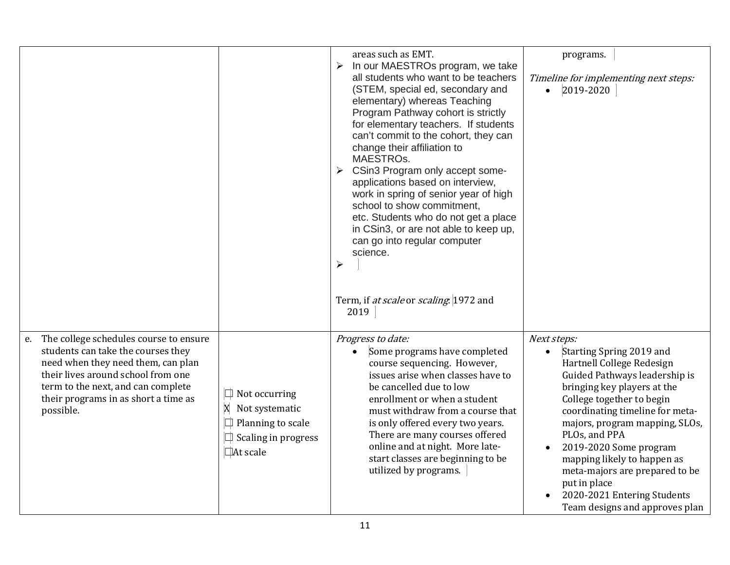|                                                                                                                                                                                                                                                        |                                                                                                            | areas such as EMT.<br>In our MAESTROs program, we take<br>$\blacktriangleright$<br>all students who want to be teachers<br>(STEM, special ed, secondary and<br>elementary) whereas Teaching<br>Program Pathway cohort is strictly<br>for elementary teachers. If students<br>can't commit to the cohort, they can<br>change their affiliation to<br>MAESTROs.<br>CSin3 Program only accept some-<br>➤<br>applications based on interview,<br>work in spring of senior year of high<br>school to show commitment,<br>etc. Students who do not get a place<br>in CSin3, or are not able to keep up,<br>can go into regular computer<br>science.<br>$\blacktriangleright$ | programs.<br>Timeline for implementing next steps:<br>• $ 2019-2020 $                                                                                                                                                                                                                                                                                                                                                               |
|--------------------------------------------------------------------------------------------------------------------------------------------------------------------------------------------------------------------------------------------------------|------------------------------------------------------------------------------------------------------------|------------------------------------------------------------------------------------------------------------------------------------------------------------------------------------------------------------------------------------------------------------------------------------------------------------------------------------------------------------------------------------------------------------------------------------------------------------------------------------------------------------------------------------------------------------------------------------------------------------------------------------------------------------------------|-------------------------------------------------------------------------------------------------------------------------------------------------------------------------------------------------------------------------------------------------------------------------------------------------------------------------------------------------------------------------------------------------------------------------------------|
|                                                                                                                                                                                                                                                        |                                                                                                            | Term, if at scale or scaling. 1972 and<br>2019                                                                                                                                                                                                                                                                                                                                                                                                                                                                                                                                                                                                                         |                                                                                                                                                                                                                                                                                                                                                                                                                                     |
| e. The college schedules course to ensure<br>students can take the courses they<br>need when they need them, can plan<br>their lives around school from one<br>term to the next, and can complete<br>their programs in as short a time as<br>possible. | Not occurring<br>X<br>Not systematic<br>$\Box$ Planning to scale<br>$\Box$ Scaling in progress<br>At scale | Progress to date:<br>Some programs have completed<br>course sequencing. However,<br>issues arise when classes have to<br>be cancelled due to low<br>enrollment or when a student<br>must withdraw from a course that<br>is only offered every two years.<br>There are many courses offered<br>online and at night. More late-<br>start classes are beginning to be<br>utilized by programs.                                                                                                                                                                                                                                                                            | Next steps:<br>Starting Spring 2019 and<br>Hartnell College Redesign<br>Guided Pathways leadership is<br>bringing key players at the<br>College together to begin<br>coordinating timeline for meta-<br>majors, program mapping, SLOs,<br>PLOs, and PPA<br>2019-2020 Some program<br>mapping likely to happen as<br>meta-majors are prepared to be<br>put in place<br>2020-2021 Entering Students<br>Team designs and approves plan |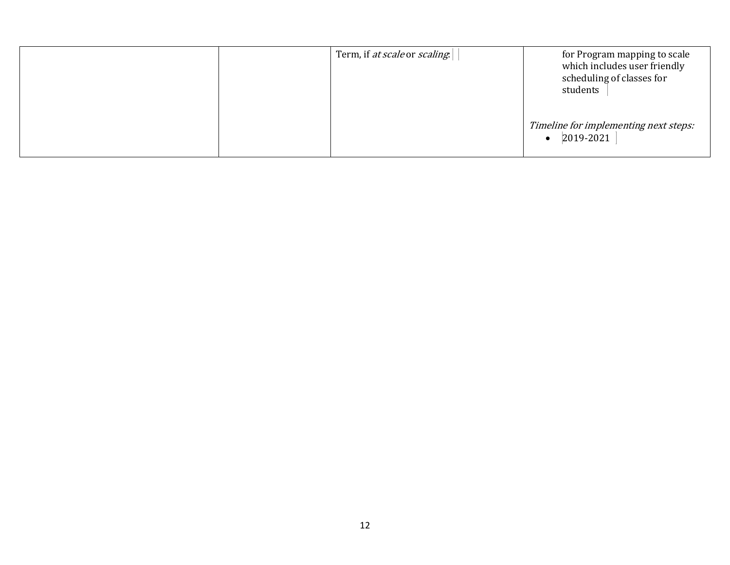|  | Term, if at scale or scaling. | for Program mapping to scale<br>which includes user friendly<br>scheduling of classes for<br>students |
|--|-------------------------------|-------------------------------------------------------------------------------------------------------|
|  |                               | Timeline for implementing next steps:<br>2019-2021<br>$\bullet$                                       |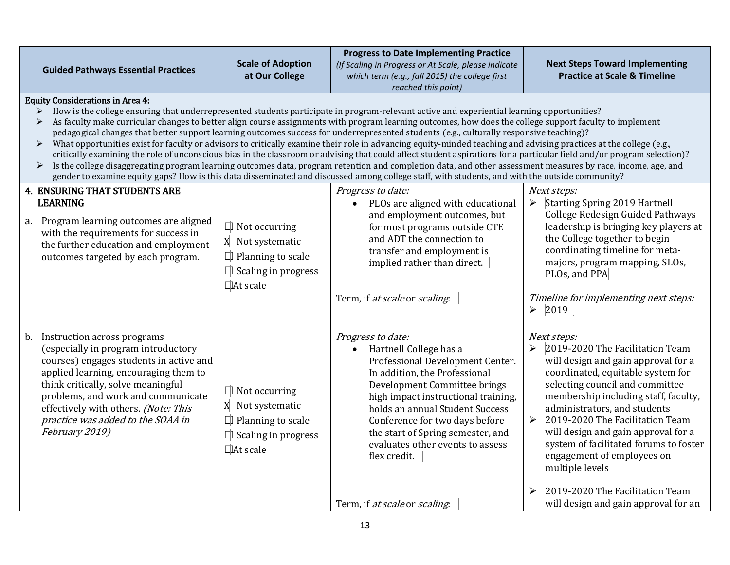| <b>Guided Pathways Essential Practices</b>                                                                                                                                                                                                                                                                                                                                                                                                                                                                                                                                                                                                                                                                                                                                                                                                                                                                                                                                                                                                                                                                                                                                                       | <b>Scale of Adoption</b><br>at Our College                                                                            | <b>Progress to Date Implementing Practice</b><br>(If Scaling in Progress or At Scale, please indicate<br>which term (e.g., fall 2015) the college first<br>reached this point)                                                                                                                                                                                     | <b>Next Steps Toward Implementing</b><br><b>Practice at Scale &amp; Timeline</b>                                                                                                                                                                                                                                                                                                                                                                                            |
|--------------------------------------------------------------------------------------------------------------------------------------------------------------------------------------------------------------------------------------------------------------------------------------------------------------------------------------------------------------------------------------------------------------------------------------------------------------------------------------------------------------------------------------------------------------------------------------------------------------------------------------------------------------------------------------------------------------------------------------------------------------------------------------------------------------------------------------------------------------------------------------------------------------------------------------------------------------------------------------------------------------------------------------------------------------------------------------------------------------------------------------------------------------------------------------------------|-----------------------------------------------------------------------------------------------------------------------|--------------------------------------------------------------------------------------------------------------------------------------------------------------------------------------------------------------------------------------------------------------------------------------------------------------------------------------------------------------------|-----------------------------------------------------------------------------------------------------------------------------------------------------------------------------------------------------------------------------------------------------------------------------------------------------------------------------------------------------------------------------------------------------------------------------------------------------------------------------|
| <b>Equity Considerations in Area 4:</b><br>How is the college ensuring that underrepresented students participate in program-relevant active and experiential learning opportunities?<br>As faculty make curricular changes to better align course assignments with program learning outcomes, how does the college support faculty to implement<br>➤<br>pedagogical changes that better support learning outcomes success for underrepresented students (e.g., culturally responsive teaching)?<br>What opportunities exist for faculty or advisors to critically examine their role in advancing equity-minded teaching and advising practices at the college (e.g.,<br>$\blacktriangleright$<br>critically examining the role of unconscious bias in the classroom or advising that could affect student aspirations for a particular field and/or program selection)?<br>Is the college disaggregating program learning outcomes data, program retention and completion data, and other assessment measures by race, income, age, and<br>➤<br>gender to examine equity gaps? How is this data disseminated and discussed among college staff, with students, and with the outside community? |                                                                                                                       |                                                                                                                                                                                                                                                                                                                                                                    |                                                                                                                                                                                                                                                                                                                                                                                                                                                                             |
| <b>4. ENSURING THAT STUDENTS ARE</b><br><b>LEARNING</b><br>a. Program learning outcomes are aligned<br>with the requirements for success in<br>the further education and employment<br>outcomes targeted by each program.                                                                                                                                                                                                                                                                                                                                                                                                                                                                                                                                                                                                                                                                                                                                                                                                                                                                                                                                                                        | $\Box$ Not occurring<br>X Not systematic<br>$\Box$ Planning to scale<br>$\Box$ Scaling in progress<br>$\Box$ At scale | Progress to date:<br>PLOs are aligned with educational<br>$\bullet$<br>and employment outcomes, but<br>for most programs outside CTE<br>and ADT the connection to<br>transfer and employment is<br>implied rather than direct.<br>Term, if at scale or scaling.                                                                                                    | Next steps:<br><b>Starting Spring 2019 Hartnell</b><br>➤<br>College Redesign Guided Pathways<br>leadership is bringing key players at<br>the College together to begin<br>coordinating timeline for meta-<br>majors, program mapping, SLOs,<br>PLOs, and PPA<br>Timeline for implementing next steps:<br>$\blacktriangleright$<br>2019                                                                                                                                      |
| b. Instruction across programs<br>(especially in program introductory<br>courses) engages students in active and<br>applied learning, encouraging them to<br>think critically, solve meaningful<br>problems, and work and communicate<br>effectively with others. (Note: This<br>practice was added to the SOAA in<br>February 2019)                                                                                                                                                                                                                                                                                                                                                                                                                                                                                                                                                                                                                                                                                                                                                                                                                                                             | $\Box$ Not occurring<br>X Not systematic<br>$\Box$ Planning to scale<br>$\Box$ Scaling in progress<br>$\Box$ At scale | Progress to date:<br>Hartnell College has a<br>$\bullet$<br>Professional Development Center.<br>In addition, the Professional<br>Development Committee brings<br>high impact instructional training,<br>holds an annual Student Success<br>Conference for two days before<br>the start of Spring semester, and<br>evaluates other events to assess<br>flex credit. | Next steps:<br>2019-2020 The Facilitation Team<br>$\blacktriangleright$<br>will design and gain approval for a<br>coordinated, equitable system for<br>selecting council and committee<br>membership including staff, faculty,<br>administrators, and students<br>2019-2020 The Facilitation Team<br>≻<br>will design and gain approval for a<br>system of facilitated forums to foster<br>engagement of employees on<br>multiple levels<br>2019-2020 The Facilitation Team |
|                                                                                                                                                                                                                                                                                                                                                                                                                                                                                                                                                                                                                                                                                                                                                                                                                                                                                                                                                                                                                                                                                                                                                                                                  |                                                                                                                       | Term, if at scale or scaling.                                                                                                                                                                                                                                                                                                                                      | will design and gain approval for an                                                                                                                                                                                                                                                                                                                                                                                                                                        |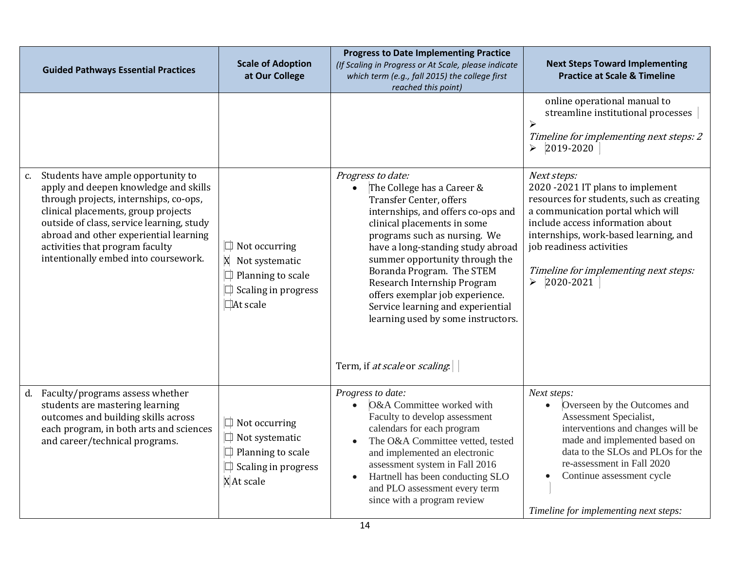| <b>Guided Pathways Essential Practices</b>                                                                                                                                                                                                                                                                                        | <b>Scale of Adoption</b><br>at Our College                                                                            | <b>Progress to Date Implementing Practice</b><br>(If Scaling in Progress or At Scale, please indicate<br>which term (e.g., fall 2015) the college first<br>reached this point)                                                                                                                                                                                                                                                          | <b>Next Steps Toward Implementing</b><br><b>Practice at Scale &amp; Timeline</b>                                                                                                                                                                                                                                         |
|-----------------------------------------------------------------------------------------------------------------------------------------------------------------------------------------------------------------------------------------------------------------------------------------------------------------------------------|-----------------------------------------------------------------------------------------------------------------------|-----------------------------------------------------------------------------------------------------------------------------------------------------------------------------------------------------------------------------------------------------------------------------------------------------------------------------------------------------------------------------------------------------------------------------------------|--------------------------------------------------------------------------------------------------------------------------------------------------------------------------------------------------------------------------------------------------------------------------------------------------------------------------|
|                                                                                                                                                                                                                                                                                                                                   |                                                                                                                       |                                                                                                                                                                                                                                                                                                                                                                                                                                         | online operational manual to<br>streamline institutional processes<br>$\blacktriangleright$<br>Timeline for implementing next steps: 2<br>2019-2020<br>$\blacktriangleright$                                                                                                                                             |
| c. Students have ample opportunity to<br>apply and deepen knowledge and skills<br>through projects, internships, co-ops,<br>clinical placements, group projects<br>outside of class, service learning, study<br>abroad and other experiential learning<br>activities that program faculty<br>intentionally embed into coursework. | $\Box$ Not occurring<br>X Not systematic<br>Planning to scale<br>$\Box$ Scaling in progress<br>□At scale              | Progress to date:<br>The College has a Career &<br><b>Transfer Center, offers</b><br>internships, and offers co-ops and<br>clinical placements in some<br>programs such as nursing. We<br>have a long-standing study abroad<br>summer opportunity through the<br>Boranda Program. The STEM<br>Research Internship Program<br>offers exemplar job experience.<br>Service learning and experiential<br>learning used by some instructors. | Next steps:<br>2020 -2021 IT plans to implement<br>resources for students, such as creating<br>a communication portal which will<br>include access information about<br>internships, work-based learning, and<br>job readiness activities<br>Timeline for implementing next steps:<br>2020-2021<br>$\blacktriangleright$ |
| d. Faculty/programs assess whether<br>students are mastering learning<br>outcomes and building skills across<br>each program, in both arts and sciences<br>and career/technical programs.                                                                                                                                         | $\Box$ Not occurring<br>$\Box$ Not systematic<br>$\Box$ Planning to scale<br>$\Box$ Scaling in progress<br>X At scale | Term, if at scale or scaling.<br>Progress to date:<br>O&A Committee worked with<br>Faculty to develop assessment<br>calendars for each program<br>The O&A Committee vetted, tested<br>and implemented an electronic<br>assessment system in Fall 2016<br>Hartnell has been conducting SLO<br>$\bullet$<br>and PLO assessment every term<br>since with a program review                                                                  | Next steps:<br>Overseen by the Outcomes and<br>$\bullet$<br>Assessment Specialist,<br>interventions and changes will be<br>made and implemented based on<br>data to the SLOs and PLOs for the<br>re-assessment in Fall 2020<br>Continue assessment cycle<br>Timeline for implementing next steps:                        |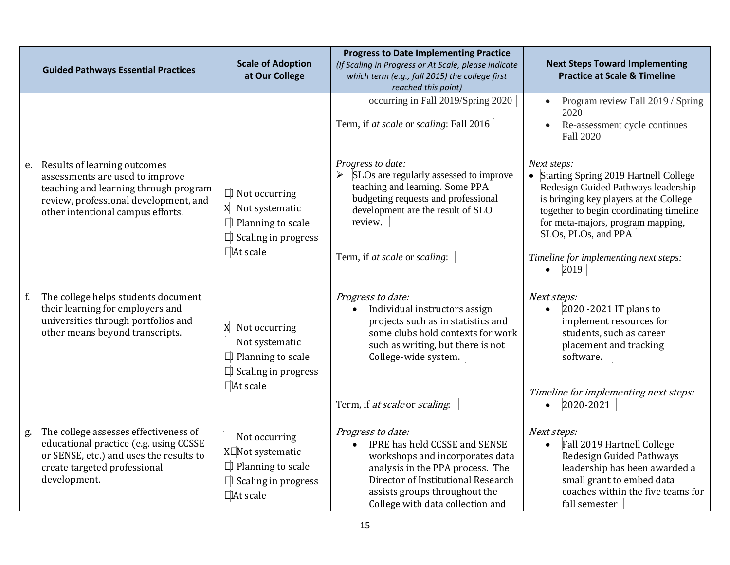|    | <b>Guided Pathways Essential Practices</b>                                                                                                                                                | <b>Scale of Adoption</b><br>at Our College                                                               | <b>Progress to Date Implementing Practice</b><br>(If Scaling in Progress or At Scale, please indicate<br>which term (e.g., fall 2015) the college first<br>reached this point)                                                              | <b>Next Steps Toward Implementing</b><br><b>Practice at Scale &amp; Timeline</b>                                                                                                                                                                                                                             |
|----|-------------------------------------------------------------------------------------------------------------------------------------------------------------------------------------------|----------------------------------------------------------------------------------------------------------|---------------------------------------------------------------------------------------------------------------------------------------------------------------------------------------------------------------------------------------------|--------------------------------------------------------------------------------------------------------------------------------------------------------------------------------------------------------------------------------------------------------------------------------------------------------------|
|    |                                                                                                                                                                                           |                                                                                                          | occurring in Fall 2019/Spring 2020<br>Term, if at scale or scaling: Fall 2016                                                                                                                                                               | Program review Fall 2019 / Spring<br>2020<br>Re-assessment cycle continues<br>Fall 2020                                                                                                                                                                                                                      |
|    | e. Results of learning outcomes<br>assessments are used to improve<br>teaching and learning through program<br>review, professional development, and<br>other intentional campus efforts. | $\Box$ Not occurring<br>X Not systematic<br>Planning to scale<br>$\Box$ Scaling in progress<br>At scale  | Progress to date:<br>SLOs are regularly assessed to improve<br>teaching and learning. Some PPA<br>budgeting requests and professional<br>development are the result of SLO<br>review.<br>Term, if at scale or scaling:                      | Next steps:<br>• Starting Spring 2019 Hartnell College<br>Redesign Guided Pathways leadership<br>is bringing key players at the College<br>together to begin coordinating timeline<br>for meta-majors, program mapping,<br>SLOs, PLOs, and PPA<br>Timeline for implementing next steps:<br>2019<br>$\bullet$ |
| f. | The college helps students document<br>their learning for employers and<br>universities through portfolios and<br>other means beyond transcripts.                                         | X Not occurring<br>Not systematic<br>Planning to scale<br>$\Box$ Scaling in progress<br>$\Box$ At scale  | Progress to date:<br>Individual instructors assign<br>projects such as in statistics and<br>some clubs hold contexts for work<br>such as writing, but there is not<br>College-wide system.<br>Term, if at scale or scaling.                 | Next steps:<br>2020 -2021 IT plans to<br>implement resources for<br>students, such as career<br>placement and tracking<br>software.<br>Timeline for implementing next steps:<br>2020-2021<br>$\bullet$                                                                                                       |
| g. | The college assesses effectiveness of<br>educational practice (e.g. using CCSSE<br>or SENSE, etc.) and uses the results to<br>create targeted professional<br>development.                | Not occurring<br>X□Not systematic<br>$\Box$ Planning to scale<br>$\Box$ Scaling in progress<br>□At scale | Progress to date:<br><b>IPRE has held CCSSE and SENSE</b><br>workshops and incorporates data<br>analysis in the PPA process. The<br>Director of Institutional Research<br>assists groups throughout the<br>College with data collection and | Next steps:<br>Fall 2019 Hartnell College<br>Redesign Guided Pathways<br>leadership has been awarded a<br>small grant to embed data<br>coaches within the five teams for<br>fall semester                                                                                                                    |